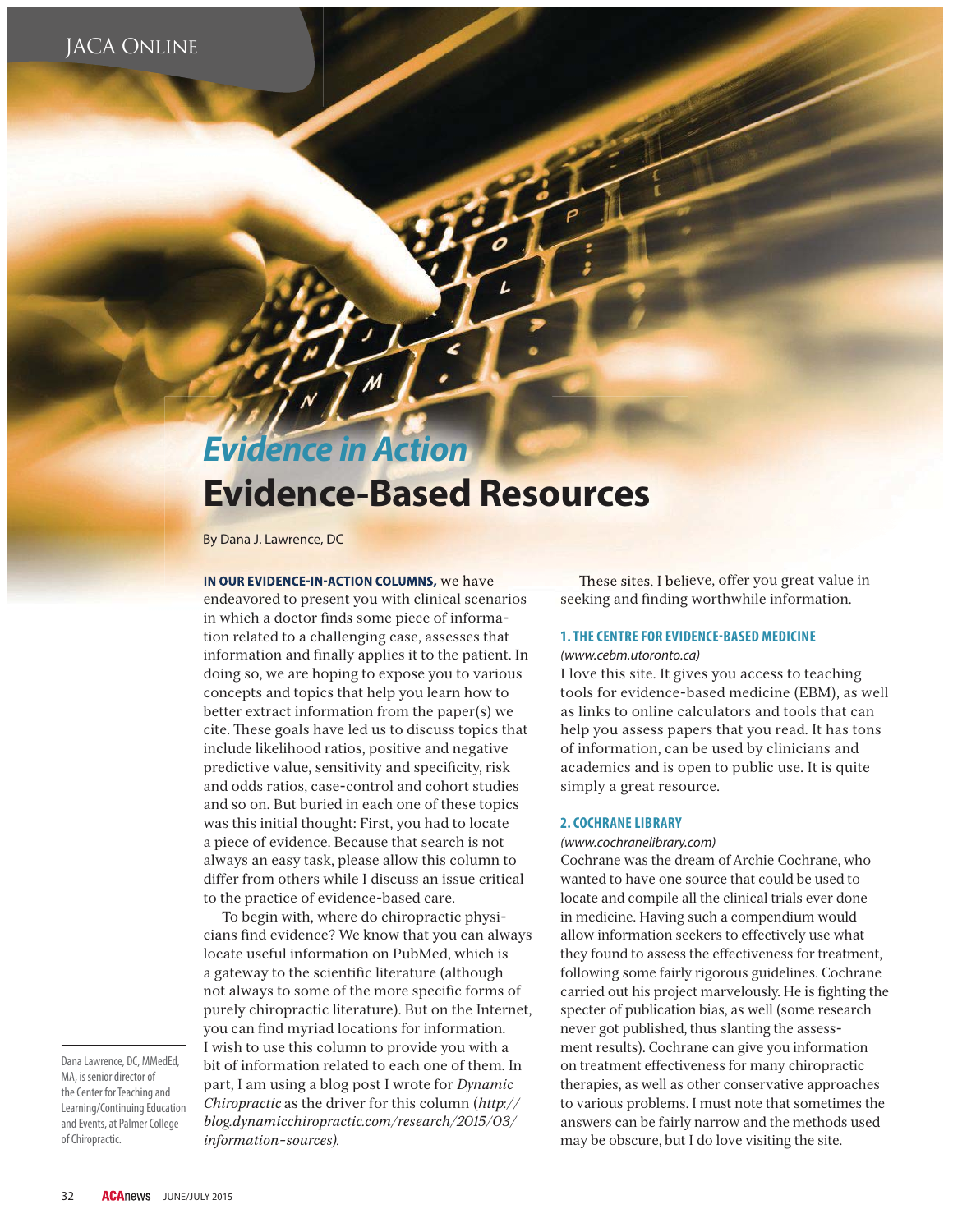## *Evidence in Action*

# **Evidence-Based Resources**

By Dana J. Lawrence, DC

## **IN OUR EVIDENCE-IN-ACTION COLUMNS, We have**

endeavored to present you with clinical scenarios in which a doctor finds some piece of information related to a challenging case, assesses that information and finally applies it to the patient. In doing so, we are hoping to expose you to various concepts and topics that help you learn how to better extract information from the paper(s) we cite. These goals have led us to discuss topics that include likelihood ratios, positive and negative predictive value, sensitivity and specificity, risk and odds ratios, case-control and cohort studies and so on. But buried in each one of these topics was this initial thought: First, you had to locate a piece of evidence. Because that search is not always an easy task, please allow this column to differ from others while I discuss an issue critical to the practice of evidence-based care.

To begin with, where do chiropractic physicians find evidence? We know that you can always locate useful information on PubMed, which is a gateway to the scientific literature (although not always to some of the more specific forms of purely chiropractic literature). But on the Internet, you can find myriad locations for information. I wish to use this column to provide you with a bit of information related to each one of them. In part, I am using a blog post I wrote for *Dynamic Chiropractic* as the driver for this column (*http:// blog.dynamicchiropractic.com/research/2015/03/ information-sources).*

These sites, I believe, offer you great value in seeking and finding worthwhile information.

#### **1. THE CENTRE FOR EVIDENCE-BASED MEDICINE**

#### (www.cebm.utoronto.ca)

I love this site. It gives you access to teaching tools for evidence-based medicine (EBM), as well as links to online calculators and tools that can help you assess papers that you read. It has tons of information, can be used by clinicians and academics and is open to public use. It is quite simply a great resource.

#### **2. COCHRANE LIBRARY**

#### (www.cochranelibrary.com)

Cochrane was the dream of Archie Cochrane, who wanted to have one source that could be used to locate and compile all the clinical trials ever done in medicine. Having such a compendium would allow information seekers to effectively use what they found to assess the effectiveness for treatment, following some fairly rigorous guidelines. Cochrane carried out his project marvelously. He is fighting the specter of publication bias, as well (some research never got published, thus slanting the assessment results). Cochrane can give you information on treatment effectiveness for many chiropractic therapies, as well as other conservative approaches to various problems. I must note that sometimes the answers can be fairly narrow and the methods used may be obscure, but I do love visiting the site.

Dana Lawrence, DC, MMedEd, MA, is senior director of the Center for Teaching and Learning/Continuing Education and Events, at Palmer College of Chiropractic.